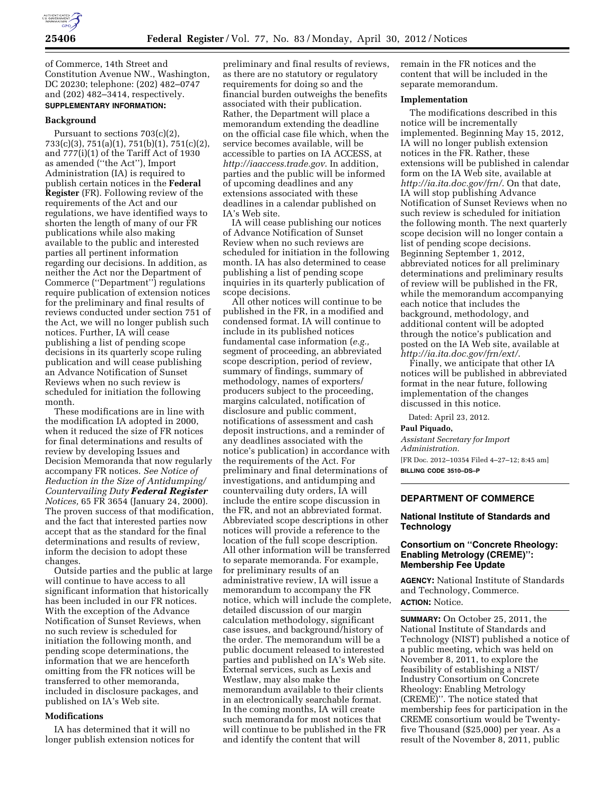

of Commerce, 14th Street and Constitution Avenue NW., Washington, DC 20230; telephone: (202) 482–0747 and (202) 482–3414, respectively. **SUPPLEMENTARY INFORMATION:** 

## **Background**

Pursuant to sections 703(c)(2), 733(c)(3), 751(a)(1), 751(b)(1), 751(c)(2), and 777(i)(1) of the Tariff Act of 1930 as amended (''the Act''), Import Administration (IA) is required to publish certain notices in the **Federal Register** (FR). Following review of the requirements of the Act and our regulations, we have identified ways to shorten the length of many of our FR publications while also making available to the public and interested parties all pertinent information regarding our decisions. In addition, as neither the Act nor the Department of Commerce (''Department'') regulations require publication of extension notices for the preliminary and final results of reviews conducted under section 751 of the Act, we will no longer publish such notices. Further, IA will cease publishing a list of pending scope decisions in its quarterly scope ruling publication and will cease publishing an Advance Notification of Sunset Reviews when no such review is scheduled for initiation the following month.

These modifications are in line with the modification IA adopted in 2000, when it reduced the size of FR notices for final determinations and results of review by developing Issues and Decision Memoranda that now regularly accompany FR notices. *See Notice of Reduction in the Size of Antidumping/ Countervailing Duty Federal Register Notices,* 65 FR 3654 (January 24, 2000). The proven success of that modification, and the fact that interested parties now accept that as the standard for the final determinations and results of review, inform the decision to adopt these changes.

Outside parties and the public at large will continue to have access to all significant information that historically has been included in our FR notices. With the exception of the Advance Notification of Sunset Reviews, when no such review is scheduled for initiation the following month, and pending scope determinations, the information that we are henceforth omitting from the FR notices will be transferred to other memoranda, included in disclosure packages, and published on IA's Web site.

### **Modifications**

IA has determined that it will no longer publish extension notices for

preliminary and final results of reviews, as there are no statutory or regulatory requirements for doing so and the financial burden outweighs the benefits associated with their publication. Rather, the Department will place a memorandum extending the deadline on the official case file which, when the service becomes available, will be accessible to parties on IA ACCESS, at *<http://iaaccess.trade.gov>*. In addition, parties and the public will be informed of upcoming deadlines and any extensions associated with these deadlines in a calendar published on IA's Web site.

IA will cease publishing our notices of Advance Notification of Sunset Review when no such reviews are scheduled for initiation in the following month. IA has also determined to cease publishing a list of pending scope inquiries in its quarterly publication of scope decisions.

All other notices will continue to be published in the FR, in a modified and condensed format. IA will continue to include in its published notices fundamental case information (*e.g.,*  segment of proceeding, an abbreviated scope description, period of review, summary of findings, summary of methodology, names of exporters/ producers subject to the proceeding, margins calculated, notification of disclosure and public comment, notifications of assessment and cash deposit instructions, and a reminder of any deadlines associated with the notice's publication) in accordance with the requirements of the Act. For preliminary and final determinations of investigations, and antidumping and countervailing duty orders, IA will include the entire scope discussion in the FR, and not an abbreviated format. Abbreviated scope descriptions in other notices will provide a reference to the location of the full scope description. All other information will be transferred to separate memoranda. For example, for preliminary results of an administrative review, IA will issue a memorandum to accompany the FR notice, which will include the complete, detailed discussion of our margin calculation methodology, significant case issues, and background/history of the order. The memorandum will be a public document released to interested parties and published on IA's Web site. External services, such as Lexis and Westlaw, may also make the memorandum available to their clients in an electronically searchable format. In the coming months, IA will create such memoranda for most notices that will continue to be published in the FR and identify the content that will

remain in the FR notices and the content that will be included in the separate memorandum.

### **Implementation**

The modifications described in this notice will be incrementally implemented. Beginning May 15, 2012, IA will no longer publish extension notices in the FR. Rather, these extensions will be published in calendar form on the IA Web site, available at *<http://ia.ita.doc.gov/frn/>*. On that date, IA will stop publishing Advance Notification of Sunset Reviews when no such review is scheduled for initiation the following month. The next quarterly scope decision will no longer contain a list of pending scope decisions. Beginning September 1, 2012, abbreviated notices for all preliminary determinations and preliminary results of review will be published in the FR, while the memorandum accompanying each notice that includes the background, methodology, and additional content will be adopted through the notice's publication and posted on the IA Web site, available at *<http://ia.ita.doc.gov/frn/ext/>*.

Finally, we anticipate that other IA notices will be published in abbreviated format in the near future, following implementation of the changes discussed in this notice.

Dated: April 23, 2012.

#### **Paul Piquado,**

*Assistant Secretary for Import Administration.*  [FR Doc. 2012–10354 Filed 4–27–12; 8:45 am] **BILLING CODE 3510–DS–P** 

## **DEPARTMENT OF COMMERCE**

### **National Institute of Standards and Technology**

## **Consortium on ''Concrete Rheology: Enabling Metrology (CREME)'': Membership Fee Update**

**AGENCY:** National Institute of Standards and Technology, Commerce. **ACTION:** Notice.

**SUMMARY:** On October 25, 2011, the National Institute of Standards and Technology (NIST) published a notice of a public meeting, which was held on November 8, 2011, to explore the feasibility of establishing a NIST/ Industry Consortium on Concrete Rheology: Enabling Metrology (CREME)''. The notice stated that membership fees for participation in the CREME consortium would be Twentyfive Thousand (\$25,000) per year. As a result of the November 8, 2011, public